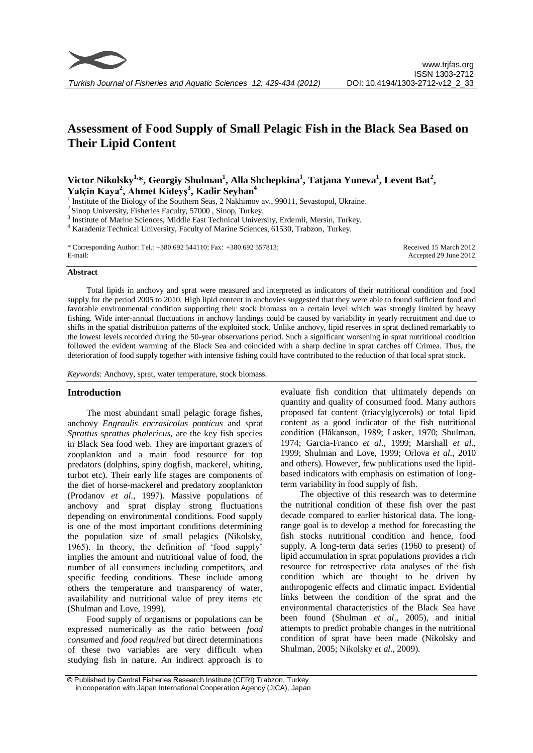

# **Assessment of Food Supply of Small Pelagic Fish in the Black Sea Based on Their Lipid Content**

# **Victor Nikolsky1,\*, Georgiy Shulman<sup>1</sup> , Alla Shchepkina<sup>1</sup> , Tatjana Yuneva<sup>1</sup> , Levent Bat<sup>2</sup> , Yalçin Kaya<sup>2</sup> , Ahmet Kideyş<sup>3</sup> , Kadir Seyhan<sup>4</sup>**

<sup>1</sup> Institute of the Biology of the Southern Seas, 2 Nakhimov av., 99011, Sevastopol, Ukraine.

<sup>2</sup> Sinop University, Fisheries Faculty, 57000, Sinop, Turkey.

<sup>3</sup> Institute of Marine Sciences, Middle East Technical University, Erdemli, Mersin, Turkey.

<sup>4</sup> Karadeniz Technical University, Faculty of Marine Sciences, 61530, Trabzon, Turkey.

\* Corresponding Author: Tel.: +380.692 544110; Fax: +380.692 557813; E-mail:

Received 15 March 2012 Accepted 29 June 2012

#### **Abstract**

Total lipids in anchovy and sprat were measured and interpreted as indicators of their nutritional condition and food supply for the period 2005 to 2010. High lipid content in anchovies suggested that they were able to found sufficient food and favorable environmental condition supporting their stock biomass on a certain level which was strongly limited by heavy fishing. Wide inter-annual fluctuations in anchovy landings could be caused by variability in yearly recruitment and due to shifts in the spatial distribution patterns of the exploited stock. Unlike anchovy, lipid reserves in sprat declined remarkably to the lowest levels recorded during the 50-year observations period. Such a significant worsening in sprat nutritional condition followed the evident warming of the Black Sea and coincided with a sharp decline in sprat catches off Crimea. Thus, the deterioration of food supply together with intensive fishing could have contributed to the reduction of that local sprat stock.

*Keywords*: Anchovy, sprat, water temperature, stock biomass.

# **Introduction**

The most abundant small pelagic forage fishes, anchovy *Engraulis encrasicolus ponticus* and sprat *Sprattus sprattus phalericus*, are the key fish species in Black Sea food web. They are important grazers of zooplankton and a main food resource for top predators (dolphins, spiny dogfish, mackerel, whiting, turbot etc). Their early life stages are components of the diet of horse-mackerel and predatory zooplankton (Prodanov *et al*., 1997). Massive populations of anchovy and sprat display strong fluctuations depending on environmental conditions. Food supply is one of the most important conditions determining the population size of small pelagics (Nikolsky, 1965). In theory, the definition of 'food supply' implies the amount and nutritional value of food, the number of all consumers including competitors, and specific feeding conditions. These include among others the temperature and transparency of water, availability and nutritional value of prey items etc (Shulman and Love, 1999).

Food supply of organisms or populations can be expressed numerically as the ratio between *food consumed* and *food required* but direct determinations of these two variables are very difficult when studying fish in nature. An indirect approach is to

evaluate fish condition that ultimately depends on quantity and quality of consumed food. Many authors proposed fat content (triacylglycerols) or total lipid content as a good indicator of the fish nutritional condition (Håkanson, 1989; Lasker, 1970; Shulman, 1974; Garcia-Franco *et al*., 1999; Marshall *et al*., 1999; Shulman and Love, 1999; Orlova *et al*., 2010 and others). However, few publications used the lipidbased indicators with emphasis on estimation of longterm variability in food supply of fish.

The objective of this research was to determine the nutritional condition of these fish over the past decade compared to earlier historical data. The longrange goal is to develop a method for forecasting the fish stocks nutritional condition and hence, food supply. A long-term data series (1960 to present) of lipid accumulation in sprat populations provides a rich resource for retrospective data analyses of the fish condition which are thought to be driven by anthropogenic effects and climatic impact. Evidential links between the condition of the sprat and the environmental characteristics of the Black Sea have been found (Shulman *et al*., 2005), and initial attempts to predict probable changes in the nutritional condition of sprat have been made (Nikolsky and Shulman, 2005; Nikolsky *et al*., 2009).

© Published by Central Fisheries Research Institute (CFRI) Trabzon, Turkey in cooperation with Japan International Cooperation Agency (JICA), Japan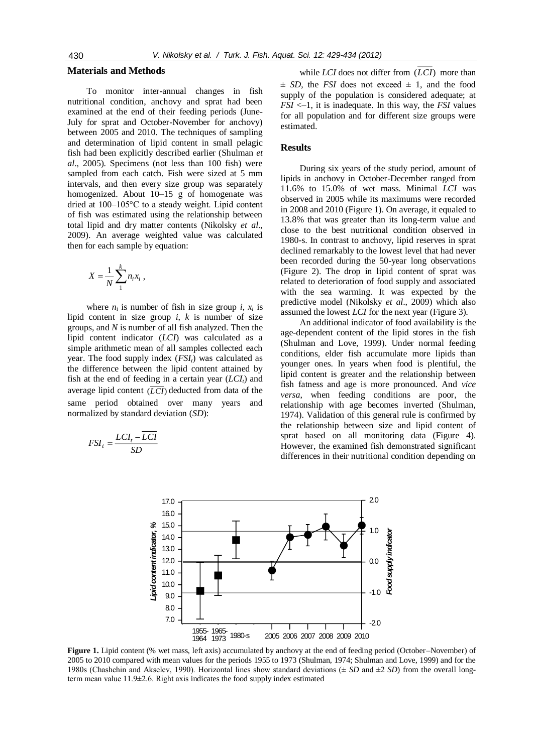#### **Materials and Methods**

To monitor inter-annual changes in fish nutritional condition, anchovy and sprat had been examined at the end of their feeding periods (June-July for sprat and October-November for anchovy) between 2005 and 2010. The techniques of sampling and determination of lipid content in small pelagic fish had been explicitly described earlier (Shulman *et al*., 2005). Specimens (not less than 100 fish) were sampled from each catch. Fish were sized at 5 mm intervals, and then every size group was separately homogenized. About 10–15 g of homogenate was dried at 100–105°C to a steady weight. Lipid content of fish was estimated using the relationship between total lipid and dry matter contents (Nikolsky *et al*., 2009). An average weighted value was calculated then for each sample by equation:

$$
X=\frac{1}{N}\sum_{1}^{k}n_{i}x_{i} ,
$$

where  $n_i$  is number of fish in size group  $i$ ,  $x_i$  is lipid content in size group *i*, *k* is number of size groups, and *N* is number of all fish analyzed. Then the lipid content indicator (*LCI*) was calculated as a simple arithmetic mean of all samples collected each year. The food supply index (*FSIt*) was calculated as the difference between the lipid content attained by fish at the end of feeding in a certain year (*LCIt*) and average lipid content  $(\overline{LCI})$  deducted from data of the same period obtained over many years and normalized by standard deviation (*SD*):

$$
FSI_t = \frac{LCI_t - LCI}{SD}
$$

while *LCI* does not differ from (*LCI*) more than  $\pm$  *SD*, the *FSI* does not exceed  $\pm$  1, and the food supply of the population is considered adequate; at *FSI* <–1, it is inadequate. In this way, the *FSI* values for all population and for different size groups were estimated.

## **Results**

During six years of the study period, amount of lipids in anchovy in October-December ranged from 11.6% to 15.0% of wet mass. Minimal *LCI* was observed in 2005 while its maximums were recorded in 2008 and 2010 (Figure 1). On average, it equaled to 13.8% that was greater than its long-term value and close to the best nutritional condition observed in 1980-s. In contrast to anchovy, lipid reserves in sprat declined remarkably to the lowest level that had never been recorded during the 50-year long observations (Figure 2). The drop in lipid content of sprat was related to deterioration of food supply and associated with the sea warming. It was expected by the predictive model (Nikolsky *et al*., 2009) which also assumed the lowest *LCI* for the next year (Figure 3).

An additional indicator of food availability is the age-dependent content of the lipid stores in the fish (Shulman and Love, 1999). Under normal feeding conditions, elder fish accumulate more lipids than younger ones. In years when food is plentiful, the lipid content is greater and the relationship between fish fatness and age is more pronounced. And *vice versa*, when feeding conditions are poor, the relationship with age becomes inverted (Shulman, 1974). Validation of this general rule is confirmed by the relationship between size and lipid content of sprat based on all monitoring data (Figure 4). However, the examined fish demonstrated significant differences in their nutritional condition depending on



**Figure 1.** Lipid content (% wet mass, left axis) accumulated by anchovy at the end of feeding period (October–November) of 2005 to 2010 compared with mean values for the periods 1955 to 1973 (Shulman, 1974; Shulman and Love, 1999) and for the 1980s (Chashchin and Akselev, 1990). Horizontal lines show standard deviations (± *SD* and ±2 *SD*) from the overall longterm mean value 11.9±2.6. Right axis indicates the food supply index estimated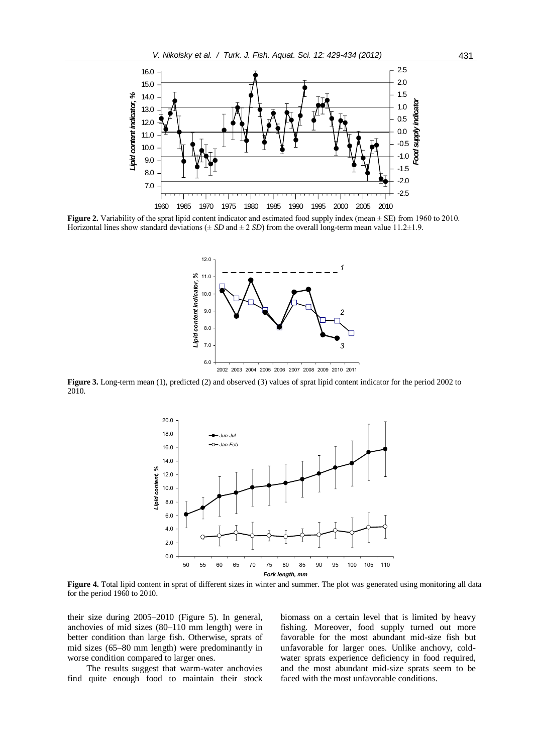

**Figure 2.** Variability of the sprat lipid content indicator and estimated food supply index (mean  $\pm$  SE) from 1960 to 2010. Horizontal lines show standard deviations ( $\pm SD$  and  $\pm 2 SD$ ) from the overall long-term mean value 11.2 $\pm 1.9$ .



2002 2003 2004 2005 2006 2007 2008 2009 2010 2011

**Figure 3.** Long-term mean (1), predicted (2) and observed (3) values of sprat lipid content indicator for the period 2002 to 2010.



**Figure 4.** Total lipid content in sprat of different sizes in winter and summer. The plot was generated using monitoring all data for the period 1960 to 2010.

their size during 2005–2010 (Figure 5). In general, anchovies of mid sizes (80–110 mm length) were in better condition than large fish. Otherwise, sprats of mid sizes (65–80 mm length) were predominantly in worse condition compared to larger ones.

The results suggest that warm-water anchovies find quite enough food to maintain their stock biomass on a certain level that is limited by heavy fishing. Moreover, food supply turned out more favorable for the most abundant mid-size fish but unfavorable for larger ones. Unlike anchovy, coldwater sprats experience deficiency in food required, and the most abundant mid-size sprats seem to be faced with the most unfavorable conditions.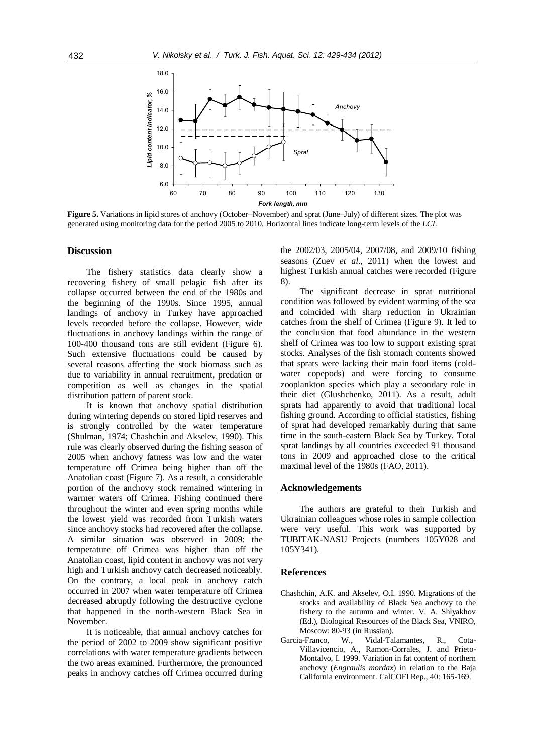

**Figure 5.** Variations in lipid stores of anchovy (October–November) and sprat (June–July) of different sizes. The plot was generated using monitoring data for the period 2005 to 2010. Horizontal lines indicate long-term levels of the *LCI*.

## **Discussion**

The fishery statistics data clearly show a recovering fishery of small pelagic fish after its collapse occurred between the end of the 1980s and the beginning of the 1990s. Since 1995, annual landings of anchovy in Turkey have approached levels recorded before the collapse. However, wide fluctuations in anchovy landings within the range of 100-400 thousand tons are still evident (Figure 6). Such extensive fluctuations could be caused by several reasons affecting the stock biomass such as due to variability in annual recruitment, predation or competition as well as changes in the spatial distribution pattern of parent stock.

It is known that anchovy spatial distribution during wintering depends on stored lipid reserves and is strongly controlled by the water temperature (Shulman, 1974; Chashchin and Akselev, 1990). This rule was clearly observed during the fishing season of 2005 when anchovy fatness was low and the water temperature off Crimea being higher than off the Anatolian coast (Figure 7). As a result, a considerable portion of the anchovy stock remained wintering in warmer waters off Crimea. Fishing continued there throughout the winter and even spring months while the lowest yield was recorded from Turkish waters since anchovy stocks had recovered after the collapse. A similar situation was observed in 2009: the temperature off Crimea was higher than off the Anatolian coast, lipid content in anchovy was not very high and Turkish anchovy catch decreased noticeably. On the contrary, a local peak in anchovy catch occurred in 2007 when water temperature off Crimea decreased abruptly following the destructive cyclone that happened in the north-western Black Sea in November.

It is noticeable, that annual anchovy catches for the period of 2002 to 2009 show significant positive correlations with water temperature gradients between the two areas examined. Furthermore, the pronounced peaks in anchovy catches off Crimea occurred during the 2002/03, 2005/04, 2007/08, and 2009/10 fishing seasons (Zuev *et al*., 2011) when the lowest and highest Turkish annual catches were recorded (Figure 8).

The significant decrease in sprat nutritional condition was followed by evident warming of the sea and coincided with sharp reduction in Ukrainian catches from the shelf of Crimea (Figure 9). It led to the conclusion that food abundance in the western shelf of Crimea was too low to support existing sprat stocks. Analyses of the fish stomach contents showed that sprats were lacking their main food items (coldwater copepods) and were forcing to consume zooplankton species which play a secondary role in their diet (Glushchenko, 2011). As a result, adult sprats had apparently to avoid that traditional local fishing ground. According to official statistics, fishing of sprat had developed remarkably during that same time in the south-eastern Black Sea by Turkey. Total sprat landings by all countries exceeded 91 thousand tons in 2009 and approached close to the critical maximal level of the 1980s (FAO, 2011).

#### **Acknowledgements**

The authors are grateful to their Turkish and Ukrainian colleagues whose roles in sample collection were very useful. This work was supported by TUBITAK-NASU Projects (numbers 105Y028 and 105Y341).

# **References**

- Chashchin, A.K. and Akselev, O.I. 1990. Migrations of the stocks and availability of Black Sea anchovy to the fishery to the autumn and winter. V. A. Shlyakhov (Ed.), Biological Resources of the Black Sea, VNIRO, Moscow: 80-93 (in Russian).
- Garcia-Franco, W., Vidal-Talamantes, R., Cota-Villavicencio, A., Ramon-Corrales, J. and Prieto-Montalvo, I. 1999. Variation in fat content of northern anchovy (*Engraulis mordax*) in relation to the Baja California environment. CalCOFI Rep., 40: 165-169.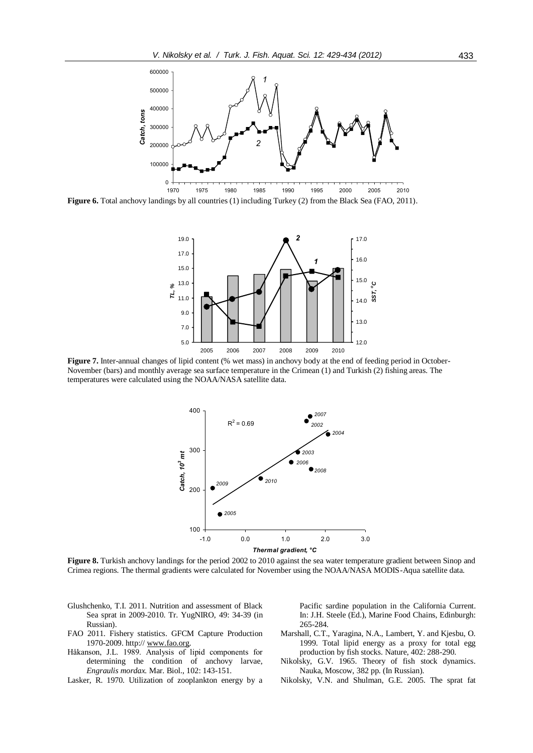

**Figure 6.** Total anchovy landings by all countries (1) including Turkey (2) from the Black Sea (FAO, 2011).



**Figure 7.** Inter-annual changes of lipid content (% wet mass) in anchovy body at the end of feeding period in October-November (bars) and monthly average sea surface temperature in the Crimean (1) and Turkish (2) fishing areas. The temperatures were calculated using the NOAA/NASA satellite data.



**Figure 8.** Turkish anchovy landings for the period 2002 to 2010 against the sea water temperature gradient between Sinop and Crimea regions. The thermal gradients were calculated for November using the NOAA/NASA MODIS-Aqua satellite data.

- Glushchenko, T.I. 2011. Nutrition and assessment of Black Sea sprat in 2009-2010. Tr. YugNIRO, 49: 34-39 (in Russian).
- FAO 2011. Fishery statistics. GFCM Capture Production 1970-2009. http:// [www.fao.org.](http://www.fao.org/)
- Håkanson, J.L. 1989. Analysis of lipid components for determining the condition of anchovy larvae, *Engraulis mordax.* Mar. Biol., 102: 143-151.
- Lasker, R. 1970. Utilization of zooplankton energy by a

Pacific sardine population in the California Current. In: J.H. Steele (Ed.), Marine Food Chains, Edinburgh: 265-284.

- Marshall, C.T., Yaragina, N.A., Lambert, Y. and Kjesbu, O. 1999. Total lipid energy as a proxy for total egg production by fish stocks. Nature, 402: 288-290.
- Nikolsky, G.V. 1965. Theory of fish stock dynamics. Nauka, Moscow, 382 pp. (In Russian).
- Nikolsky, V.N. and Shulman, G.E. 2005. The sprat fat